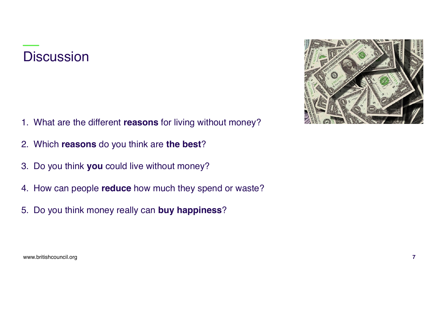# **Discussion**

- 1. What are the different **reasons** for living without money?
- 2. Which **reasons** do you think are **the best**?
- 3. Do you think **you** could live without money?
- 4. How can people **reduce** how much they spend or waste?
- 5. Do you think money really can **buy happiness**?



www.britishcouncil.org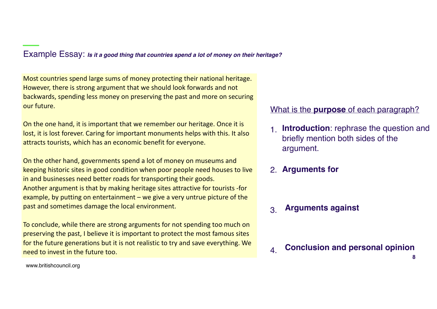Example Essay: *Is it a good thing that countries spend a lot of money on their heritage?*

Most countries spend large sums of money protecting their national heritage. However, there is strong argument that we should look forwards and not backwards, spending less money on preserving the past and more on securing our future.

On the one hand, it is important that we remember our heritage. Once it is lost, it is lost forever. Caring for important monuments helps with this. It also attracts tourists, which has an economic benefit for everyone.

On the other hand, governments spend a lot of money on museums and keeping historic sites in good condition when poor people need houses to live in and businesses need better roads for transporting their goods. Another argument is that by making heritage sites attractive for tourists -for example, by putting on entertainment  $-$  we give a very untrue picture of the past and sometimes damage the local environment.

To conclude, while there are strong arguments for not spending too much on preserving the past, I believe it is important to protect the most famous sites for the future generations but it is not realistic to try and save everything. We need to invest in the future too.

### What is the **purpose** of each paragraph?

- 1. **Introduction**: rephrase the question and briefly mention both sides of the argument.
- 2. **Arguments for**

#### 3. **Arguments against**

4. **Conclusion and personal opinion**

**8**

www.britishcouncil.org